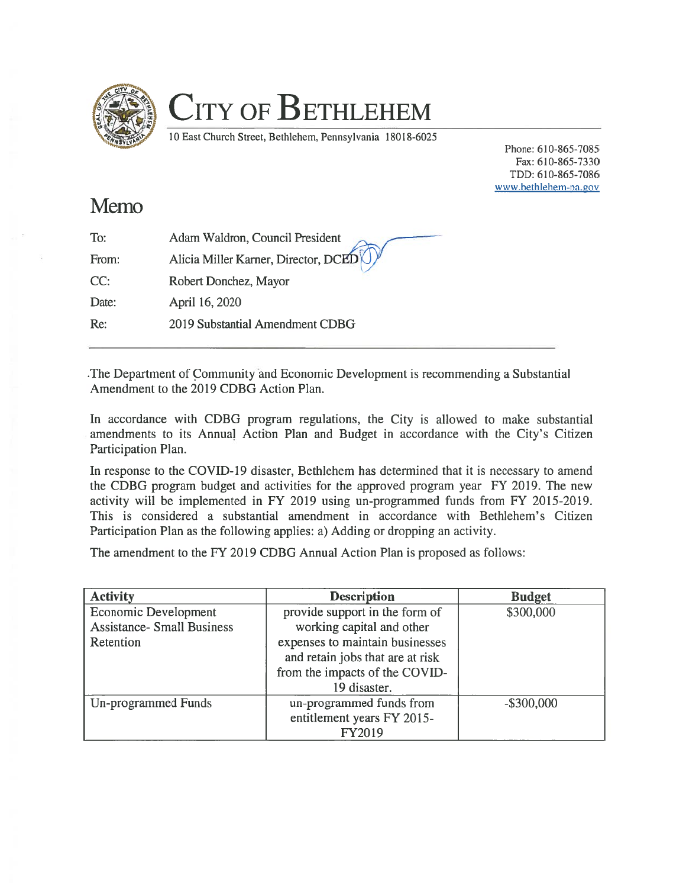

## CITY OF BETHLEHEM

10 East Church Street, Bethlehem, Pennsylvania 180 18-6025

Phone: 610-865-7085 Fax: 610-865-7330 TDD: 610-865-7086 www.bethlehem-pa. gov

## Memo

| To:   | Adam Waldron, Council President      |
|-------|--------------------------------------|
| From: | Alicia Miller Karner, Director, DCED |
| CC:   | Robert Donchez, Mayor                |
| Date: | April 16, 2020                       |
| Re:   | 2019 Substantial Amendment CDBG      |
|       |                                      |

.The Department of Community and Economic Development is recommending <sup>a</sup> Substantial Amendment to the 2019 CDBG Action Plan.

In accordance with CDBG program regulations, the City is allowed to make substantial amendments to its Annual Action Plan and Budget in accordance with the City's Citizen Participation Plan.

In response to the COVID-19 disaster, Bethlehem has determined that it is necessary to amend the CDBG program budget and activities for the approved program year FY 2019. The new activity will be implemented in FY 2019 using un-programmed funds from FY 2015-2019. This is considered <sup>a</sup> substantial amendment in accordance with Bethlehem's Citizen Participation Plan as the following applies: a) Adding or dropping an activity.

The amendment to the FY 2019 CDBG Annual Action Plan is proposed as follows:

| <b>Activity</b>                   | <b>Description</b>               | <b>Budget</b> |
|-----------------------------------|----------------------------------|---------------|
| Economic Development              | provide support in the form of   | \$300,000     |
| <b>Assistance- Small Business</b> | working capital and other        |               |
| Retention                         | expenses to maintain businesses  |               |
|                                   | and retain jobs that are at risk |               |
|                                   | from the impacts of the COVID-   |               |
|                                   | 19 disaster.                     |               |
| Un-programmed Funds               | un-programmed funds from         | $-$ \$300,000 |
|                                   | entitlement years FY 2015-       |               |
|                                   | FY2019                           |               |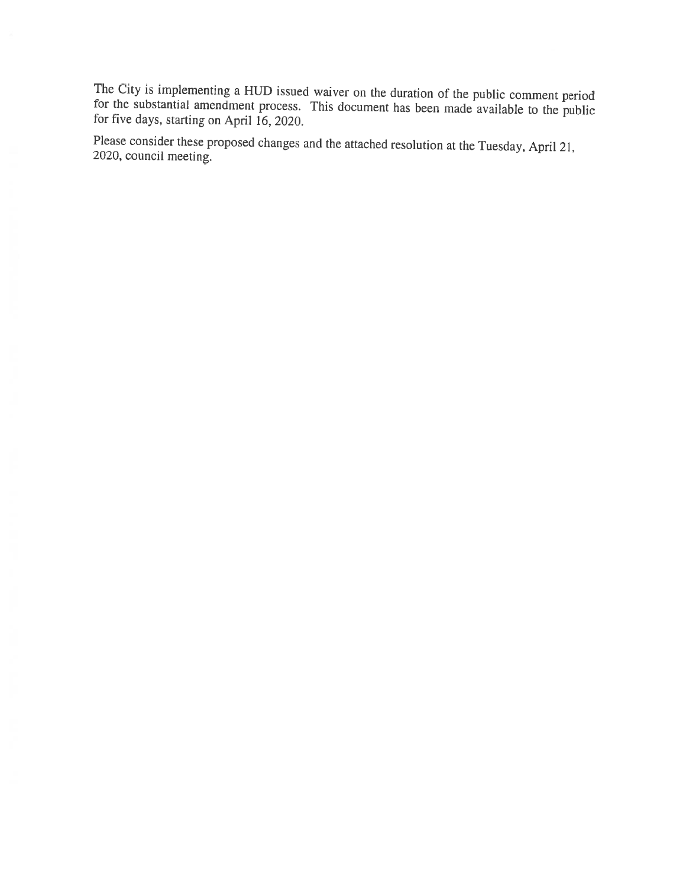The City is implementing <sup>a</sup> HUD issued waiver on the duration of the public comment period for the substantial amendment process. This document has been made available to the public for five days, starting on April 16, 2020.

Please consider these proposed changes and the attached resolution at the Tuesday, April 21, 2020, council meeting.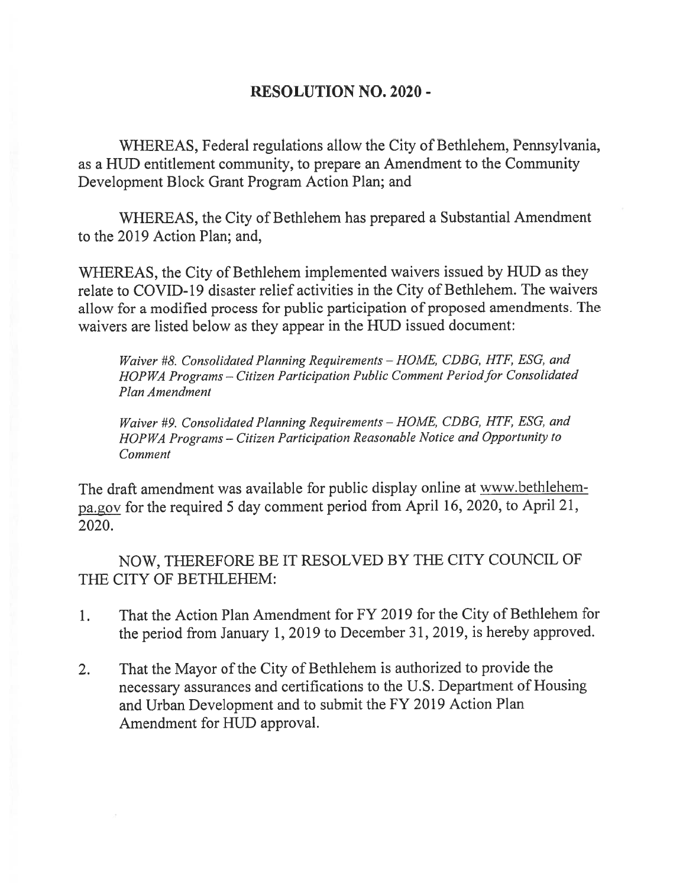## RESOLUTION NO. 2020 -

WHEREAS, Federal regulations allow the City of Bethlehem, Pennsylvania, as <sup>a</sup> HUD entitlement community, to prepare an Amendment to the Community Development Block Grant Program Action Plan; and

WHEREAS, the City of Bethlehem has prepared a Substantial Amendment to the 2019 Action Plan; and,

WHEREAS, the City of Bethlehem implemented waivers issued by HUD as they relate to COVID-19 disaster relief activities in the City of Bethlehem. The waivers allow for <sup>a</sup> modified process for public participation of proposed amendments. The waivers are listed below as they appear in the HUD issued document:

Waiver #8. Consolidated Planning Requirements - HOME, CDBG, HTF, ESG, and HOPWA Programs - Citizen Participation Public Comment Period for Consolidated Plan Amendment

Waiver #9. Consolidated Planning Requirements - HOME, CDBG, HTF, ESG, and HOP WA Programs — Citizen Participation Reasonable Notice and Opportunity to Comment

The draft amendment was available for public display online at www.bethlehempa.gov for the required <sup>5</sup> day comment period from April 16, 2020, to April 21, 2020.

NOW, THEREFORE BE IT RESOLVED BY THE CITY COUNCIL OF THE CITY OF BETHLEHEM:

- 1. That the Action Plan Amendment for FY 2019 for the City of Bethlehem for the period from January 1,2019 to December 31, 2019, is hereby approved.
- 2. That the Mayor of the City of Bethlehem is authorized to provide the necessary assurances and certifications to the U.S. Department of Housing and Urban Development and to submit the FY 2019 Action Plan Amendment for HUD approval.